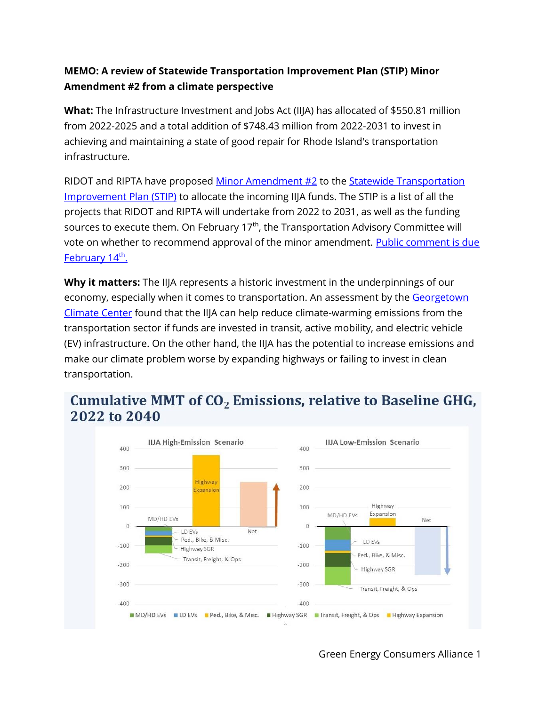## **MEMO: A review of Statewide Transportation Improvement Plan (STIP) Minor Amendment #2 from a climate perspective**

**What:** The Infrastructure Investment and Jobs Act (IIJA) has allocated of \$550.81 million from 2022-2025 and a total addition of \$748.43 million from 2022-2031 to invest in achieving and maintaining a state of good repair for Rhode Island's transportation infrastructure.

RIDOT and RIPTA have proposed [Minor Amendment #2](http://www.planning.ri.gov/documents/tip/2022/STIP-Amendment-2.pdf) to the Statewide Transportation [Improvement Plan \(STIP\)](http://www.planning.ri.gov/planning-areas/transportation/tip.php) to allocate the incoming IIJA funds. The STIP is a list of all the projects that RIDOT and RIPTA will undertake from 2022 to 2031, as well as the funding sources to execute them. On February  $17<sup>th</sup>$ , the Transportation Advisory Committee will vote on whether to recommend approval of the minor amendment. [Public comment is due](https://planning.ri.commentinput.com/?id=6WVFj)  [February 14](https://planning.ri.commentinput.com/?id=6WVFj)<sup>th</sup>.

**Why it matters:** The IIJA represents a historic investment in the underpinnings of our economy, especially when it comes to transportation. An assessment by the Georgetown [Climate Center](https://www.georgetownclimate.org/articles/federal-infrastructure-investment-analysis.html#ref-back-26) found that the IIJA can help reduce climate-warming emissions from the transportation sector if funds are invested in transit, active mobility, and electric vehicle (EV) infrastructure. On the other hand, the IIJA has the potential to increase emissions and make our climate problem worse by expanding highways or failing to invest in clean transportation.

# Cumulative MMT of  $CO<sub>2</sub>$  Emissions, relative to Baseline GHG, 2022 to 2040



Green Energy Consumers Alliance 1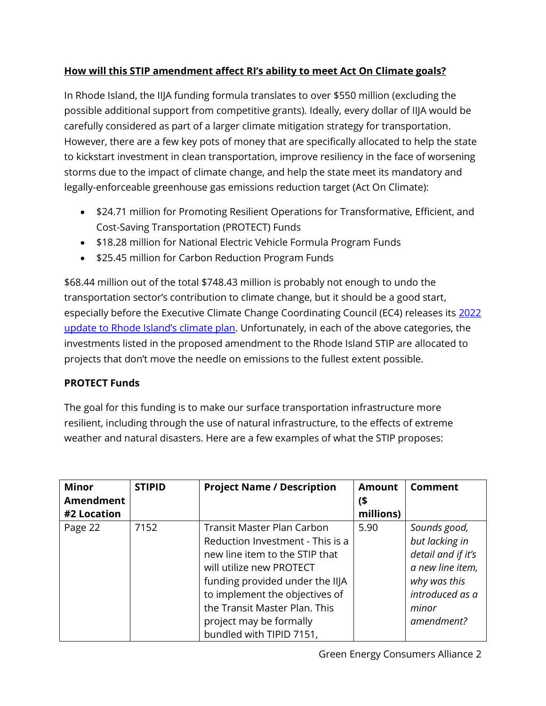## **How will this STIP amendment affect RI's ability to meet Act On Climate goals?**

In Rhode Island, the IIJA funding formula translates to over \$550 million (excluding the possible additional support from competitive grants). Ideally, every dollar of IIJA would be carefully considered as part of a larger climate mitigation strategy for transportation. However, there are a few key pots of money that are specifically allocated to help the state to kickstart investment in clean transportation, improve resiliency in the face of worsening storms due to the impact of climate change, and help the state meet its mandatory and legally-enforceable greenhouse gas emissions reduction target (Act On Climate):

- \$24.71 million for Promoting Resilient Operations for Transformative, Efficient, and Cost-Saving Transportation (PROTECT) Funds
- \$18.28 million for National Electric Vehicle Formula Program Funds
- \$25.45 million for Carbon Reduction Program Funds

\$68.44 million out of the total \$748.43 million is probably not enough to undo the transportation sector's contribution to climate change, but it should be a good start, especially before the Executive Climate Change Coordinating Council (EC4) releases its [2022](http://climatechange.ri.gov/aoc/)  [update to Rhode Island's](http://climatechange.ri.gov/aoc/) climate plan. Unfortunately, in each of the above categories, the investments listed in the proposed amendment to the Rhode Island STIP are allocated to projects that don't move the needle on emissions to the fullest extent possible.

### **PROTECT Funds**

The goal for this funding is to make our surface transportation infrastructure more resilient, including through the use of natural infrastructure, to the effects of extreme weather and natural disasters. Here are a few examples of what the STIP proposes:

| <b>Minor</b> | <b>STIPID</b> | <b>Project Name / Description</b> | <b>Amount</b> | Comment            |
|--------------|---------------|-----------------------------------|---------------|--------------------|
| Amendment    |               |                                   | ิ\$           |                    |
| #2 Location  |               |                                   | millions)     |                    |
| Page 22      | 7152          | <b>Transit Master Plan Carbon</b> | 5.90          | Sounds good,       |
|              |               | Reduction Investment - This is a  |               | but lacking in     |
|              |               | new line item to the STIP that    |               | detail and if it's |
|              |               | will utilize new PROTECT          |               | a new line item,   |
|              |               | funding provided under the IIJA   |               | why was this       |
|              |               | to implement the objectives of    |               | introduced as a    |
|              |               | the Transit Master Plan. This     |               | minor              |
|              |               | project may be formally           |               | amendment?         |
|              |               | bundled with TIPID 7151,          |               |                    |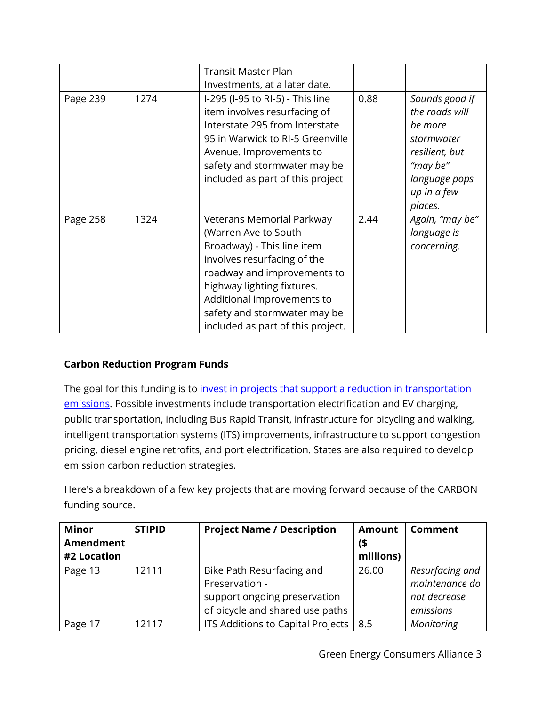|          |      | <b>Transit Master Plan</b>                                                                                                                                                                                                                                                     |      |                                                                                         |
|----------|------|--------------------------------------------------------------------------------------------------------------------------------------------------------------------------------------------------------------------------------------------------------------------------------|------|-----------------------------------------------------------------------------------------|
|          |      | Investments, at a later date.                                                                                                                                                                                                                                                  |      |                                                                                         |
| Page 239 | 1274 | I-295 (I-95 to RI-5) - This line<br>item involves resurfacing of<br>Interstate 295 from Interstate<br>95 in Warwick to RI-5 Greenville<br>Avenue. Improvements to<br>safety and stormwater may be                                                                              | 0.88 | Sounds good if<br>the roads will<br>be more<br>stormwater<br>resilient, but<br>"may be" |
|          |      | included as part of this project                                                                                                                                                                                                                                               |      | language pops<br>up in a few<br>places.                                                 |
| Page 258 | 1324 | Veterans Memorial Parkway<br>(Warren Ave to South<br>Broadway) - This line item<br>involves resurfacing of the<br>roadway and improvements to<br>highway lighting fixtures.<br>Additional improvements to<br>safety and stormwater may be<br>included as part of this project. | 2.44 | Again, "may be"<br>language is<br>concerning.                                           |

### **Carbon Reduction Program Funds**

The goal for this funding is to *invest in projects that support a reduction in transportation* [emissions.](https://southeastagnet.com/wp-content/uploads/2021/08/Infrastructure-Investment-and-Jobs-Act-IIJA.pdf) Possible investments include transportation electrification and EV charging, public transportation, including Bus Rapid Transit, infrastructure for bicycling and walking, intelligent transportation systems (ITS) improvements, infrastructure to support congestion pricing, diesel engine retrofits, and port electrification. States are also required to develop emission carbon reduction strategies.

Here's a breakdown of a few key projects that are moving forward because of the CARBON funding source.

| <b>Minor</b> | <b>STIPID</b> | <b>Project Name / Description</b> | <b>Amount</b> | <b>Comment</b>  |
|--------------|---------------|-----------------------------------|---------------|-----------------|
| Amendment    |               |                                   |               |                 |
| #2 Location  |               |                                   | millions)     |                 |
| Page 13      | 12111         | Bike Path Resurfacing and         | 26.00         | Resurfacing and |
|              |               | Preservation -                    |               | maintenance do  |
|              |               | support ongoing preservation      |               | not decrease    |
|              |               | of bicycle and shared use paths   |               | emissions       |
| Page 17      | 12117         | ITS Additions to Capital Projects | 8.5           | Monitoring      |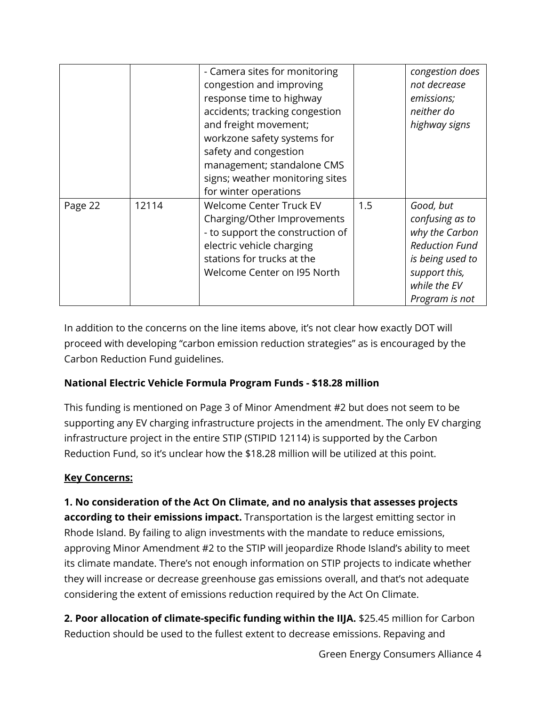|         |       | - Camera sites for monitoring<br>congestion and improving<br>response time to highway<br>accidents; tracking congestion<br>and freight movement;<br>workzone safety systems for<br>safety and congestion<br>management; standalone CMS<br>signs; weather monitoring sites<br>for winter operations |     | congestion does<br>not decrease<br>emissions;<br>neither do<br>highway signs                                                                   |
|---------|-------|----------------------------------------------------------------------------------------------------------------------------------------------------------------------------------------------------------------------------------------------------------------------------------------------------|-----|------------------------------------------------------------------------------------------------------------------------------------------------|
| Page 22 | 12114 | Welcome Center Truck EV<br>Charging/Other Improvements<br>- to support the construction of<br>electric vehicle charging<br>stations for trucks at the<br>Welcome Center on 195 North                                                                                                               | 1.5 | Good, but<br>confusing as to<br>why the Carbon<br><b>Reduction Fund</b><br>is being used to<br>support this,<br>while the EV<br>Program is not |

In addition to the concerns on the line items above, it's not clear how exactly DOT will proceed with developing "carbon emission reduction strategies" as is encouraged by the Carbon Reduction Fund guidelines.

## **National Electric Vehicle Formula Program Funds - \$18.28 million**

This funding is mentioned on Page 3 of Minor Amendment #2 but does not seem to be supporting any EV charging infrastructure projects in the amendment. The only EV charging infrastructure project in the entire STIP (STIPID 12114) is supported by the Carbon Reduction Fund, so it's unclear how the \$18.28 million will be utilized at this point.

## **Key Concerns:**

**1. No consideration of the Act On Climate, and no analysis that assesses projects according to their emissions impact.** Transportation is the largest emitting sector in Rhode Island. By failing to align investments with the mandate to reduce emissions, approving Minor Amendment #2 to the STIP will jeopardize Rhode Island's ability to meet its climate mandate. There's not enough information on STIP projects to indicate whether they will increase or decrease greenhouse gas emissions overall, and that's not adequate considering the extent of emissions reduction required by the Act On Climate.

**2. Poor allocation of climate-specific funding within the IIJA.** \$25.45 million for Carbon Reduction should be used to the fullest extent to decrease emissions. Repaving and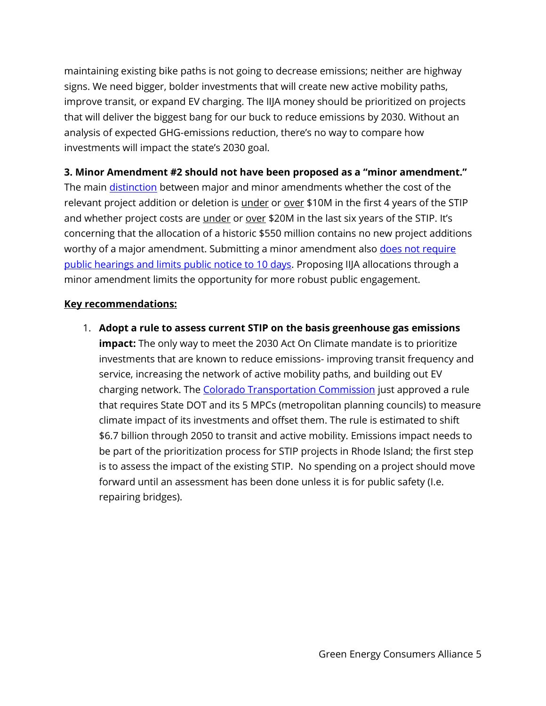maintaining existing bike paths is not going to decrease emissions; neither are highway signs. We need bigger, bolder investments that will create new active mobility paths, improve transit, or expand EV charging. The IIJA money should be prioritized on projects that will deliver the biggest bang for our buck to reduce emissions by 2030. Without an analysis of expected GHG-emissions reduction, there's no way to compare how investments will impact the state's 2030 goal.

#### **3. Minor Amendment #2 should not have been proposed as a "minor amendment."**

The main [distinction](http://www.planning.ri.gov/documents/tip/2022/STIP-MOA-1-5-22.pdf) between major and minor amendments whether the cost of the relevant project addition or deletion is *under* or over \$10M in the first 4 years of the STIP and whether project costs are *under or over* \$20M in the last six years of the STIP. It's concerning that the allocation of a historic \$550 million contains no new project additions worthy of a major amendment. Submitting a minor amendment also does not require [public hearings and limits public notice to 10 days.](http://www.planning.ri.gov/documents/tip/2022/STIP-MOA-1-5-22.pdf) Proposing IIJA allocations through a minor amendment limits the opportunity for more robust public engagement.

#### **Key recommendations:**

1. **Adopt a rule to assess current STIP on the basis greenhouse gas emissions impact:** The only way to meet the 2030 Act On Climate mandate is to prioritize investments that are known to reduce emissions- improving transit frequency and service, increasing the network of active mobility paths, and building out EV charging network. The [Colorado Transportation Commission](https://www.cpr.org/2021/12/16/less-funding-for-road-expansion-billions-for-greener-transportation-projects-possible-with-cdot-rule-change/) just approved a rule that requires State DOT and its 5 MPCs (metropolitan planning councils) to measure climate impact of its investments and offset them. The rule is estimated to shift \$6.7 billion through 2050 to transit and active mobility. Emissions impact needs to be part of the prioritization process for STIP projects in Rhode Island; the first step is to assess the impact of the existing STIP. No spending on a project should move forward until an assessment has been done unless it is for public safety (I.e. repairing bridges).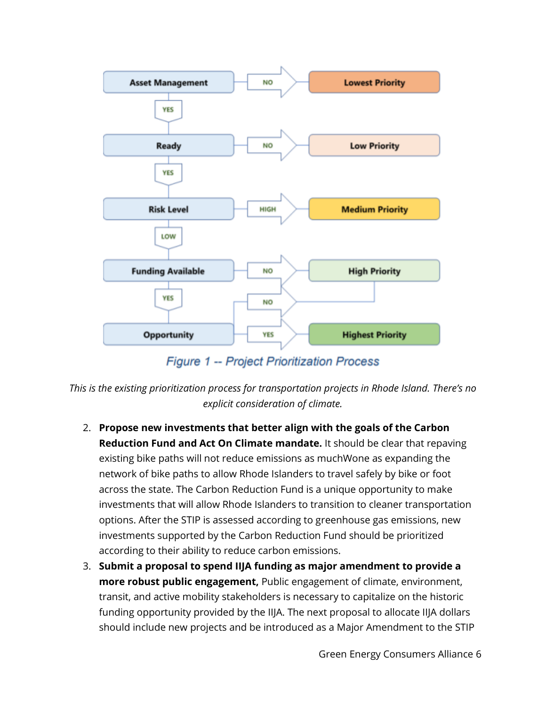

**Figure 1 -- Project Prioritization Process** 

*This is the existing prioritization process for transportation projects in Rhode Island. There's no explicit consideration of climate.* 

- 2. **Propose new investments that better align with the goals of the Carbon Reduction Fund and Act On Climate mandate.** It should be clear that repaving existing bike paths will not reduce emissions as muchWone as expanding the network of bike paths to allow Rhode Islanders to travel safely by bike or foot across the state. The Carbon Reduction Fund is a unique opportunity to make investments that will allow Rhode Islanders to transition to cleaner transportation options. After the STIP is assessed according to greenhouse gas emissions, new investments supported by the Carbon Reduction Fund should be prioritized according to their ability to reduce carbon emissions.
- 3. **Submit a proposal to spend IIJA funding as major amendment to provide a more robust public engagement,** Public engagement of climate, environment, transit, and active mobility stakeholders is necessary to capitalize on the historic funding opportunity provided by the IIJA. The next proposal to allocate IIJA dollars should include new projects and be introduced as a Major Amendment to the STIP